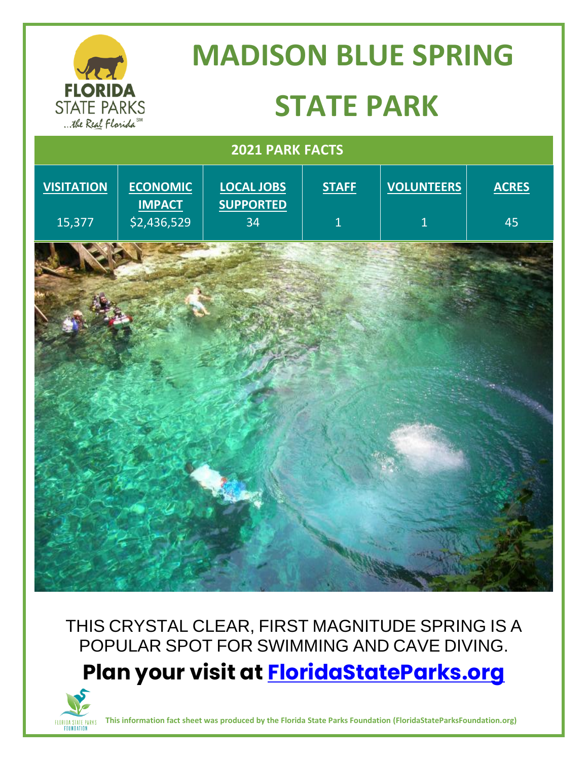

THIS CRYSTAL CLEAR, FIRST MAGNITUDE SPRING IS A POPULAR SPOT FOR SWIMMING AND CAVE DIVING. **Plan your visit at<FloridaStateParks.org>**



**This information fact sheet was produced by the Florida State Parks Foundation (FloridaStateParksFoundation.org)**